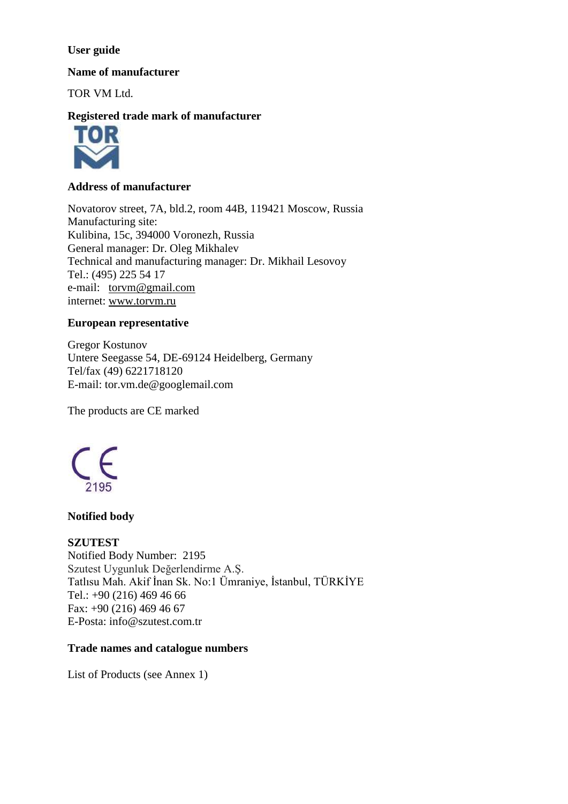### **User guide**

**Name of manufacturer**

TOR VM Ltd.

# **Registered trade mark of manufacturer**



### **Address of manufacturer**

Novatorov street, 7A, bld.2, room 44B, 119421 Moscow, Russia Manufacturing site: Kulibina, 15c, 394000 Voronezh, Russia General manager: Dr. Oleg Mikhalev Technical and manufacturing manager: Dr. Mikhail Lesovoy Tel.: (495) 225 54 17 e-mail: [torvm@gmail.com](mailto:torvm@gmail.com) internet: [www.torvm.ru](http://www.torvm.ru/)

## **European representative**

Gregor Kostunov Untere Seegasse 54, DE-69124 Heidelberg, Germany Tel/fax (49) 6221718120 E-mail: tor.vm.de@googlemail.com

The products are CE marked



### **Notified body**

## **SZUTEST**

Notified Body Number: 2195 Szutest Uygunluk Değerlendirme A.Ş. Tatlısu Mah. Akif İnan Sk. No:1 Ümraniye, İstanbul, TÜRKİYE Tel.: +90 (216) 469 46 66 Fax: +90 (216) 469 46 67 E-Posta: [info@szutest.com.tr](mailto:info@szutest.com.tr)

## **Trade names and catalogue numbers**

List of Products (see Annex 1)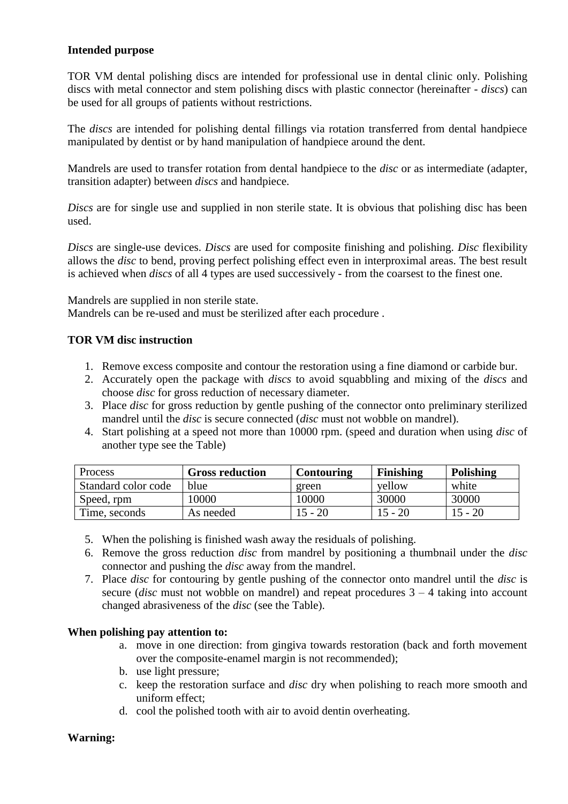### **Intended purpose**

TOR VM dental polishing discs are intended for professional use in dental clinic only. Polishing discs with metal connector and stem polishing discs with plastic connector (hereinafter - *discs*) can be used for all groups of patients without restrictions.

The *discs* are intended for polishing dental fillings via rotation transferred from dental handpiece manipulated by dentist or by hand manipulation of handpiece around the dent.

Mandrels are used to transfer rotation from dental handpiece to the *disc* or as intermediate (adapter, transition adapter) between *discs* and handpiece.

*Discs* are for single use and supplied in non sterile state. It is obvious that polishing disc has been used.

*Discs* are single-use devices. *Discs* are used for composite finishing and polishing. *Disc* flexibility allows the *disc* to bend, proving perfect polishing effect even in interproximal areas. The best result is achieved when *discs* of all 4 types are used successively - from the coarsest to the finest one.

Mandrels are supplied in non sterile state.

Mandrels can be re-used and must be sterilized after each procedure .

#### **TOR VM disc instruction**

- 1. Remove excess composite and contour the restoration using a fine diamond or carbide bur.
- 2. Accurately open the package with *discs* to avoid squabbling and mixing of the *discs* and choose *disc* for gross reduction of necessary diameter.
- 3. Place *disc* for gross reduction by gentle pushing of the connector onto preliminary sterilized mandrel until the *disc* is secure connected (*disc* must not wobble on mandrel).
- 4. Start polishing at a speed not more than 10000 rpm. (speed and duration when using *disc* of another type see the Table)

| <b>Process</b>      | <b>Gross reduction</b> | Contouring | Finishing | Polishing |
|---------------------|------------------------|------------|-----------|-----------|
| Standard color code | blue                   | green      | vellow    | white     |
| Speed, rpm          | 10000                  | 10000      | 30000     | 30000     |
| Time, seconds       | As needed              | !5 - 20    | $15 - 20$ | $15 - 20$ |

- 5. When the polishing is finished wash away the residuals of polishing.
- 6. Remove the gross reduction *disc* from mandrel by positioning a thumbnail under the *disc* connector and pushing the *disc* away from the mandrel.
- 7. Place *disc* for contouring by gentle pushing of the connector onto mandrel until the *disc* is secure (*disc* must not wobble on mandrel) and repeat procedures 3 – 4 taking into account changed abrasiveness of the *disc* (see the Table).

#### **When polishing pay attention to:**

- a. move in one direction: from gingiva towards restoration (back and forth movement over the composite-enamel margin is not recommended);
- b. use light pressure;
- c. keep the restoration surface and *disc* dry when polishing to reach more smooth and uniform effect;
- d. cool the polished tooth with air to avoid dentin overheating.

## **Warning:**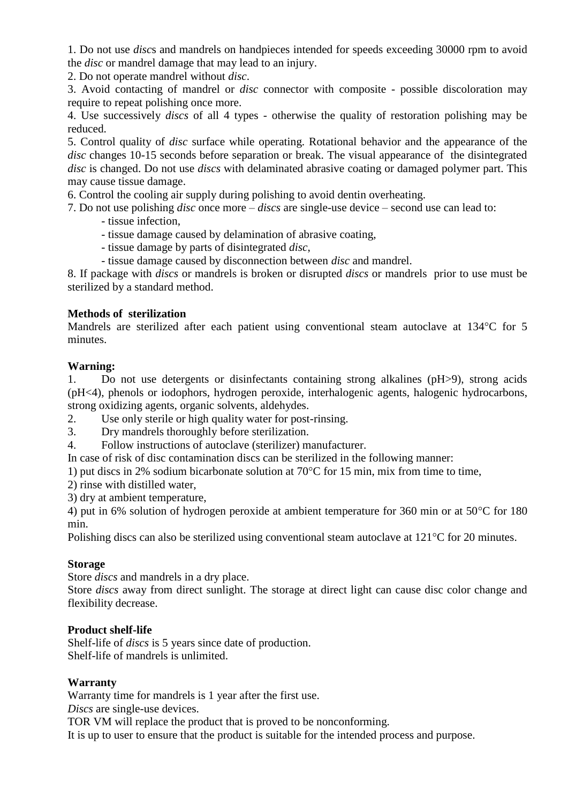1. Do not use *disc*s and mandrels on handpieces intended for speeds exceeding 30000 rpm to avoid the *disc* or mandrel damage that may lead to an injury.

2. Do not operate mandrel without *disc*.

3. Avoid contacting of mandrel or *disc* connector with composite - possible discoloration may require to repeat polishing once more.

4. Use successively *discs* of all 4 types - otherwise the quality of restoration polishing may be reduced.

5. Control quality of *disc* surface while operating. Rotational behavior and the appearance of the *disc* changes 10-15 seconds before separation or break. The visual appearance of the disintegrated *disc* is changed. Do not use *discs* with delaminated abrasive coating or damaged polymer part. This may cause tissue damage.

6. Control the cooling air supply during polishing to avoid dentin overheating.

7. Do not use polishing *disc* once more – *discs* are single-use device – second use can lead to:

- tissue infection,
- tissue damage caused by delamination of abrasive coating,
- tissue damage by parts of disintegrated *disc*,
- tissue damage caused by disconnection between *disc* and mandrel.

8. If package with *discs* or mandrels is broken or disrupted *discs* or mandrels prior to use must be sterilized by a standard method.

## **Methods of sterilization**

Mandrels are sterilized after each patient using conventional steam autoclave at 134 °C for 5 minutes.

### **Warning:**

1. Do not use detergents or disinfectants containing strong alkalines (pH>9), strong acids (pH<4), phenols or iodophors, hydrogen peroxide, interhalogenic agents, halogenic hydrocarbons, strong oxidizing agents, organic solvents, aldehydes.

- 2. Use only sterile or high quality water for post-rinsing.
- 3. Dry mandrels thoroughly before sterilization.
- 4. Follow instructions of autoclave (sterilizer) manufacturer.

In case of risk of disc contamination discs can be sterilized in the following manner:

- 1) put discs in 2% sodium bicarbonate solution at 70°C for 15 min, mix from time to time,
- 2) rinse with distilled water,
- 3) dry at ambient temperature,

4) put in 6% solution of hydrogen peroxide at ambient temperature for 360 min or at 50°C for 180 min.

Polishing discs can also be sterilized using conventional steam autoclave at 121°C for 20 minutes.

#### **Storage**

Store *discs* and mandrels in a dry place.

Store *discs* away from direct sunlight. The storage at direct light can cause disc color change and flexibility decrease.

#### **Product shelf-life**

Shelf-life of *discs* is 5 years since date of production. Shelf-life of mandrels is unlimited.

#### **Warranty**

Warranty time for mandrels is 1 year after the first use.

*Discs* are single-use devices.

TOR VM will replace the product that is proved to be nonconforming.

It is up to user to ensure that the product is suitable for the intended process and purpose.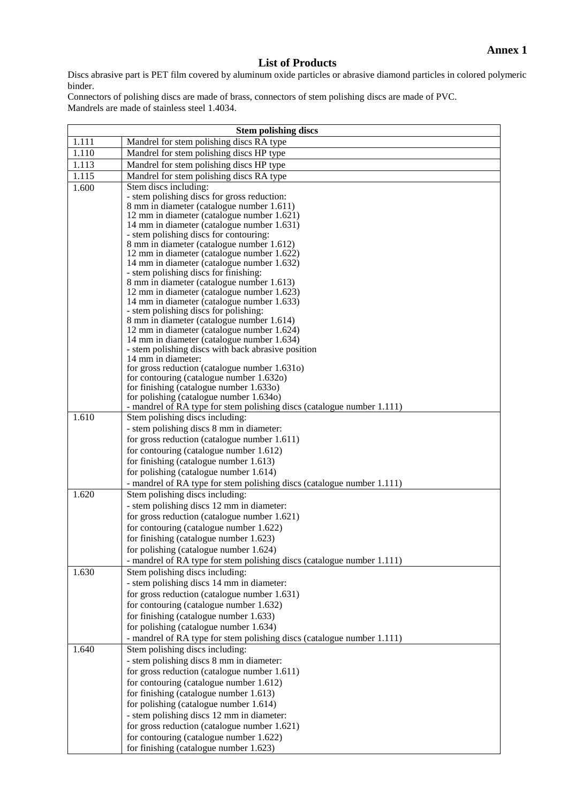## **List of Products**

Discs abrasive part is PET film covered by aluminum oxide particles or abrasive diamond particles in colored polymeric binder.

Connectors of polishing discs are made of brass, connectors of stem polishing discs are made of PVC. Mandrels are made of stainless steel 1.4034.

| <b>Stem polishing discs</b> |                                                                                           |
|-----------------------------|-------------------------------------------------------------------------------------------|
| 1.111                       | Mandrel for stem polishing discs RA type                                                  |
| 1.110                       | Mandrel for stem polishing discs HP type                                                  |
| 1.113                       | Mandrel for stem polishing discs HP type                                                  |
| 1.115                       | Mandrel for stem polishing discs RA type                                                  |
| 1.600                       | Stem discs including:                                                                     |
|                             | - stem polishing discs for gross reduction:                                               |
|                             | 8 mm in diameter (catalogue number 1.611)                                                 |
|                             | 12 mm in diameter (catalogue number 1.621)                                                |
|                             | 14 mm in diameter (catalogue number 1.631)<br>- stem polishing discs for contouring:      |
|                             | 8 mm in diameter (catalogue number 1.612)                                                 |
|                             | 12 mm in diameter (catalogue number 1.622)                                                |
|                             | 14 mm in diameter (catalogue number 1.632)                                                |
|                             | - stem polishing discs for finishing:                                                     |
|                             | 8 mm in diameter (catalogue number 1.613)                                                 |
|                             | 12 mm in diameter (catalogue number 1.623)                                                |
|                             | 14 mm in diameter (catalogue number 1.633)<br>- stem polishing discs for polishing:       |
|                             | 8 mm in diameter (catalogue number 1.614)                                                 |
|                             | 12 mm in diameter (catalogue number 1.624)                                                |
|                             | 14 mm in diameter (catalogue number 1.634)                                                |
|                             | - stem polishing discs with back abrasive position                                        |
|                             | 14 mm in diameter:                                                                        |
|                             | for gross reduction (catalogue number 1.631o)<br>for contouring (catalogue number 1.632o) |
|                             | for finishing (catalogue number 1.633o)                                                   |
|                             | for polishing (catalogue number 1.634o)                                                   |
|                             | - mandrel of RA type for stem polishing discs (catalogue number 1.111)                    |
| 1.610                       | Stem polishing discs including:                                                           |
|                             | - stem polishing discs 8 mm in diameter:                                                  |
|                             | for gross reduction (catalogue number 1.611)                                              |
|                             | for contouring (catalogue number 1.612)                                                   |
|                             | for finishing (catalogue number 1.613)                                                    |
|                             | for polishing (catalogue number 1.614)                                                    |
|                             | - mandrel of RA type for stem polishing discs (catalogue number 1.111)                    |
| 1.620                       | Stem polishing discs including:                                                           |
|                             | - stem polishing discs 12 mm in diameter:                                                 |
|                             | for gross reduction (catalogue number 1.621)                                              |
|                             | for contouring (catalogue number 1.622)                                                   |
|                             | for finishing (catalogue number 1.623)                                                    |
|                             | for polishing (catalogue number 1.624)                                                    |
|                             | - mandrel of RA type for stem polishing discs (catalogue number 1.111)                    |
| 1.630                       | Stem polishing discs including:                                                           |
|                             | - stem polishing discs 14 mm in diameter:                                                 |
|                             | for gross reduction (catalogue number 1.631)                                              |
|                             | for contouring (catalogue number 1.632)                                                   |
|                             | for finishing (catalogue number 1.633)                                                    |
|                             | for polishing (catalogue number 1.634)                                                    |
|                             | - mandrel of RA type for stem polishing discs (catalogue number 1.111)                    |
| 1.640                       | Stem polishing discs including:                                                           |
|                             | - stem polishing discs 8 mm in diameter:                                                  |
|                             | for gross reduction (catalogue number 1.611)                                              |
|                             | for contouring (catalogue number 1.612)                                                   |
|                             | for finishing (catalogue number 1.613)                                                    |
|                             | for polishing (catalogue number 1.614)                                                    |
|                             | - stem polishing discs 12 mm in diameter:                                                 |
|                             | for gross reduction (catalogue number 1.621)                                              |
|                             | for contouring (catalogue number 1.622)                                                   |
|                             | for finishing (catalogue number 1.623)                                                    |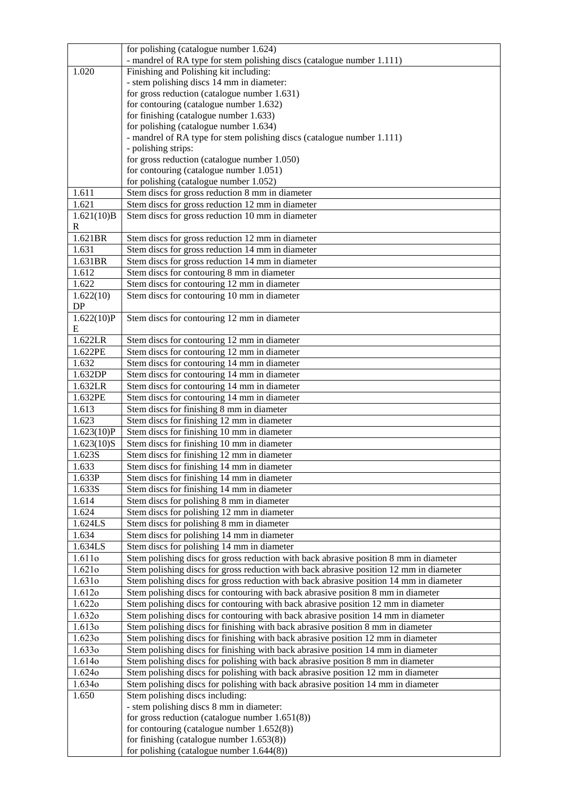|                         | for polishing (catalogue number 1.624)                                                    |
|-------------------------|-------------------------------------------------------------------------------------------|
|                         | - mandrel of RA type for stem polishing discs (catalogue number 1.111)                    |
| 1.020                   | Finishing and Polishing kit including:                                                    |
|                         | - stem polishing discs 14 mm in diameter:                                                 |
|                         | for gross reduction (catalogue number 1.631)                                              |
|                         | for contouring (catalogue number 1.632)                                                   |
|                         | for finishing (catalogue number 1.633)                                                    |
|                         | for polishing (catalogue number 1.634)                                                    |
|                         | - mandrel of RA type for stem polishing discs (catalogue number 1.111)                    |
|                         | - polishing strips:                                                                       |
|                         | for gross reduction (catalogue number 1.050)                                              |
|                         | for contouring (catalogue number 1.051)                                                   |
| 1.611                   | for polishing (catalogue number 1.052)<br>Stem discs for gross reduction 8 mm in diameter |
| 1.621                   | Stem discs for gross reduction 12 mm in diameter                                          |
| $\overline{1.621(10)}B$ | Stem discs for gross reduction 10 mm in diameter                                          |
| $\mathbf R$             |                                                                                           |
| 1.621BR                 | Stem discs for gross reduction 12 mm in diameter                                          |
| 1.631                   | Stem discs for gross reduction 14 mm in diameter                                          |
| 1.631BR                 | Stem discs for gross reduction 14 mm in diameter                                          |
| 1.612                   | Stem discs for contouring 8 mm in diameter                                                |
| 1.622                   | Stem discs for contouring 12 mm in diameter                                               |
| 1.622(10)               | Stem discs for contouring 10 mm in diameter                                               |
| DP                      |                                                                                           |
| 1.622(10)P              | Stem discs for contouring 12 mm in diameter                                               |
| E                       |                                                                                           |
| 1.622LR                 | Stem discs for contouring 12 mm in diameter                                               |
| 1.622PE                 | Stem discs for contouring 12 mm in diameter                                               |
| 1.632                   | Stem discs for contouring 14 mm in diameter                                               |
| 1.632DP                 | Stem discs for contouring 14 mm in diameter                                               |
| 1.632LR                 | Stem discs for contouring 14 mm in diameter                                               |
| 1.632PE                 | Stem discs for contouring 14 mm in diameter                                               |
| 1.613                   | Stem discs for finishing 8 mm in diameter                                                 |
| 1.623                   | Stem discs for finishing 12 mm in diameter                                                |
| 1.623(10)P              | Stem discs for finishing 10 mm in diameter                                                |
| 1.623(10)S              | Stem discs for finishing 10 mm in diameter                                                |
| 1.623S                  | Stem discs for finishing 12 mm in diameter                                                |
| 1.633                   | Stem discs for finishing 14 mm in diameter                                                |
| 1.633P                  | Stem discs for finishing 14 mm in diameter                                                |
| 1.633S<br>1.614         | Stem discs for finishing 14 mm in diameter                                                |
| 1.624                   | Stem discs for polishing 8 mm in diameter<br>Stem discs for polishing 12 mm in diameter   |
| 1.624LS                 | Stem discs for polishing 8 mm in diameter                                                 |
| 1.634                   | Stem discs for polishing 14 mm in diameter                                                |
| 1.634LS                 | Stem discs for polishing 14 mm in diameter                                                |
| 1.611o                  | Stem polishing discs for gross reduction with back abrasive position 8 mm in diameter     |
| 1.621o                  | Stem polishing discs for gross reduction with back abrasive position 12 mm in diameter    |
| 1.631o                  | Stem polishing discs for gross reduction with back abrasive position 14 mm in diameter    |
| 1.6120                  | Stem polishing discs for contouring with back abrasive position 8 mm in diameter          |
| 1.6220                  | Stem polishing discs for contouring with back abrasive position 12 mm in diameter         |
| 1.6320                  | Stem polishing discs for contouring with back abrasive position 14 mm in diameter         |
| 1.6130                  | Stem polishing discs for finishing with back abrasive position 8 mm in diameter           |
| 1.6230                  | Stem polishing discs for finishing with back abrasive position 12 mm in diameter          |
| 1.6330                  | Stem polishing discs for finishing with back abrasive position 14 mm in diameter          |
| 1.6140                  | Stem polishing discs for polishing with back abrasive position 8 mm in diameter           |
| 1.6240                  | Stem polishing discs for polishing with back abrasive position 12 mm in diameter          |
| 1.6340                  | Stem polishing discs for polishing with back abrasive position 14 mm in diameter          |
| 1.650                   | Stem polishing discs including:                                                           |
|                         | - stem polishing discs 8 mm in diameter:                                                  |
|                         | for gross reduction (catalogue number $1.651(8)$ )                                        |
|                         | for contouring (catalogue number $1.652(8)$ )                                             |
|                         | for finishing (catalogue number $1.653(8)$ )                                              |
|                         | for polishing (catalogue number $1.644(8)$ )                                              |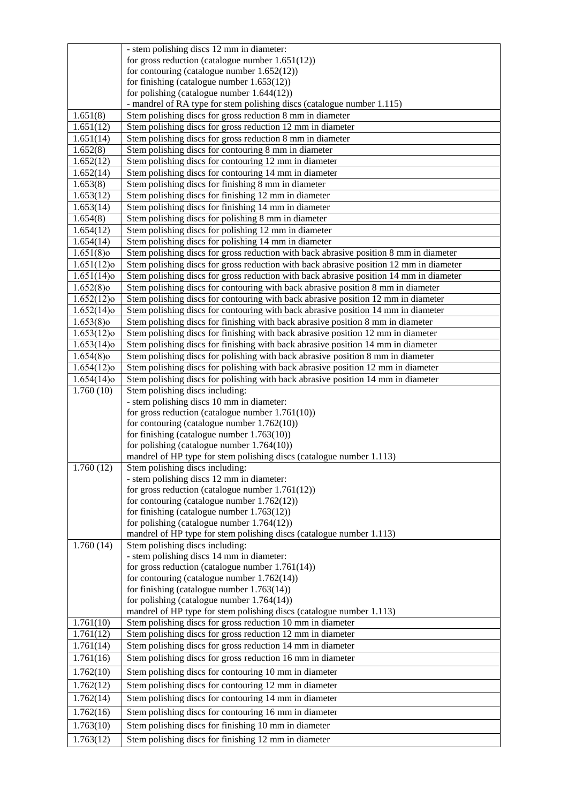|                        | - stem polishing discs 12 mm in diameter:                                                                      |
|------------------------|----------------------------------------------------------------------------------------------------------------|
|                        | for gross reduction (catalogue number $1.651(12)$ )                                                            |
|                        | for contouring (catalogue number $1.652(12)$ )                                                                 |
|                        | for finishing (catalogue number $1.653(12)$ )                                                                  |
|                        | for polishing (catalogue number $1.644(12)$ )                                                                  |
|                        | - mandrel of RA type for stem polishing discs (catalogue number 1.115)                                         |
| 1.651(8)               | Stem polishing discs for gross reduction 8 mm in diameter                                                      |
| $\overline{1.651(12)}$ | Stem polishing discs for gross reduction 12 mm in diameter                                                     |
| 1.651(14)              | Stem polishing discs for gross reduction 8 mm in diameter                                                      |
| 1.652(8)               | Stem polishing discs for contouring 8 mm in diameter                                                           |
| 1.652(12)              | Stem polishing discs for contouring 12 mm in diameter<br>Stem polishing discs for contouring 14 mm in diameter |
| 1.652(14)<br>1.653(8)  | Stem polishing discs for finishing 8 mm in diameter                                                            |
| 1.653(12)              | Stem polishing discs for finishing 12 mm in diameter                                                           |
| 1.653(14)              | Stem polishing discs for finishing 14 mm in diameter                                                           |
| 1.654(8)               | Stem polishing discs for polishing 8 mm in diameter                                                            |
| 1.654(12)              | Stem polishing discs for polishing 12 mm in diameter                                                           |
| 1.654(14)              | Stem polishing discs for polishing 14 mm in diameter                                                           |
| $1.651(8)$ o           | Stem polishing discs for gross reduction with back abrasive position 8 mm in diameter                          |
| $1.651(12)$ o          | Stem polishing discs for gross reduction with back abrasive position 12 mm in diameter                         |
| $1.651(14)$ o          | Stem polishing discs for gross reduction with back abrasive position 14 mm in diameter                         |
| $1.652(8)$ o           | Stem polishing discs for contouring with back abrasive position 8 mm in diameter                               |
| $1.652(12)$ o          | Stem polishing discs for contouring with back abrasive position 12 mm in diameter                              |
| $1.652(14)$ o          | Stem polishing discs for contouring with back abrasive position 14 mm in diameter                              |
| $1.653(8)$ o           | Stem polishing discs for finishing with back abrasive position 8 mm in diameter                                |
| $1.653(12)$ o          | Stem polishing discs for finishing with back abrasive position 12 mm in diameter                               |
| $1.653(14)$ o          | Stem polishing discs for finishing with back abrasive position 14 mm in diameter                               |
| $1.654(8)$ o           | Stem polishing discs for polishing with back abrasive position 8 mm in diameter                                |
| $1.654(12)$ o          | Stem polishing discs for polishing with back abrasive position 12 mm in diameter                               |
| $1.654(14)$ o          | Stem polishing discs for polishing with back abrasive position 14 mm in diameter                               |
| 1.760(10)              | Stem polishing discs including:                                                                                |
|                        | - stem polishing discs 10 mm in diameter:                                                                      |
|                        | for gross reduction (catalogue number $1.761(10)$ )                                                            |
|                        | for contouring (catalogue number $1.762(10)$ )<br>for finishing (catalogue number $1.763(10)$ )                |
|                        | for polishing (catalogue number $1.764(10)$ )                                                                  |
|                        | mandrel of HP type for stem polishing discs (catalogue number 1.113)                                           |
| 1.760(12)              | Stem polishing discs including:                                                                                |
|                        | - stem polishing discs 12 mm in diameter:                                                                      |
|                        | for gross reduction (catalogue number $1.761(12)$ )                                                            |
|                        | for contouring (catalogue number $1.762(12)$ )                                                                 |
|                        | for finishing (catalogue number $1.763(12)$ )                                                                  |
|                        | for polishing (catalogue number $1.764(12)$ )                                                                  |
|                        | mandrel of HP type for stem polishing discs (catalogue number 1.113)                                           |
| 1.760(14)              | Stem polishing discs including:                                                                                |
|                        | - stem polishing discs 14 mm in diameter:                                                                      |
|                        | for gross reduction (catalogue number 1.761(14))<br>for contouring (catalogue number $1.762(14)$ )             |
|                        | for finishing (catalogue number $1.763(14)$ )                                                                  |
|                        | for polishing (catalogue number $1.764(14)$ )                                                                  |
|                        | mandrel of HP type for stem polishing discs (catalogue number 1.113)                                           |
| 1.761(10)              | Stem polishing discs for gross reduction 10 mm in diameter                                                     |
| 1.761(12)              | Stem polishing discs for gross reduction 12 mm in diameter                                                     |
| 1.761(14)              | Stem polishing discs for gross reduction 14 mm in diameter                                                     |
| 1.761(16)              | Stem polishing discs for gross reduction 16 mm in diameter                                                     |
| 1.762(10)              | Stem polishing discs for contouring 10 mm in diameter                                                          |
| 1.762(12)              | Stem polishing discs for contouring 12 mm in diameter                                                          |
| 1.762(14)              | Stem polishing discs for contouring 14 mm in diameter                                                          |
| 1.762(16)              | Stem polishing discs for contouring 16 mm in diameter                                                          |
| 1.763(10)              | Stem polishing discs for finishing 10 mm in diameter                                                           |
| 1.763(12)              | Stem polishing discs for finishing 12 mm in diameter                                                           |
|                        |                                                                                                                |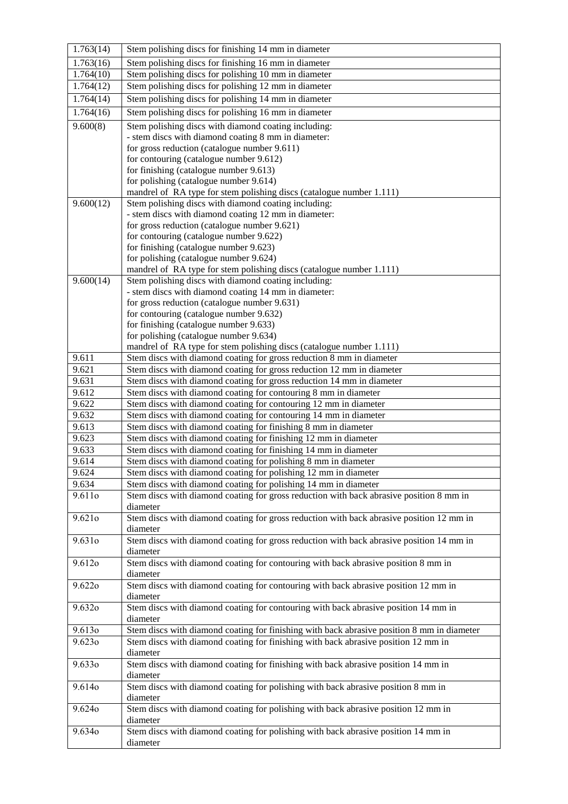| 1.763(14) | Stem polishing discs for finishing 14 mm in diameter                                                                                         |
|-----------|----------------------------------------------------------------------------------------------------------------------------------------------|
| 1.763(16) | Stem polishing discs for finishing 16 mm in diameter                                                                                         |
| 1.764(10) | Stem polishing discs for polishing 10 mm in diameter                                                                                         |
| 1.764(12) | Stem polishing discs for polishing 12 mm in diameter                                                                                         |
| 1.764(14) | Stem polishing discs for polishing 14 mm in diameter                                                                                         |
| 1.764(16) | Stem polishing discs for polishing 16 mm in diameter                                                                                         |
| 9.600(8)  | Stem polishing discs with diamond coating including:                                                                                         |
|           | - stem discs with diamond coating 8 mm in diameter:                                                                                          |
|           | for gross reduction (catalogue number 9.611)                                                                                                 |
|           | for contouring (catalogue number 9.612)                                                                                                      |
|           | for finishing (catalogue number 9.613)                                                                                                       |
|           | for polishing (catalogue number 9.614)                                                                                                       |
| 9.600(12) | mandrel of RA type for stem polishing discs (catalogue number 1.111)<br>Stem polishing discs with diamond coating including:                 |
|           | - stem discs with diamond coating 12 mm in diameter:                                                                                         |
|           | for gross reduction (catalogue number 9.621)                                                                                                 |
|           | for contouring (catalogue number 9.622)                                                                                                      |
|           | for finishing (catalogue number 9.623)                                                                                                       |
|           | for polishing (catalogue number 9.624)                                                                                                       |
|           | mandrel of RA type for stem polishing discs (catalogue number 1.111)                                                                         |
| 9.600(14) | Stem polishing discs with diamond coating including:                                                                                         |
|           | - stem discs with diamond coating 14 mm in diameter:                                                                                         |
|           | for gross reduction (catalogue number 9.631)                                                                                                 |
|           | for contouring (catalogue number 9.632)                                                                                                      |
|           | for finishing (catalogue number 9.633)                                                                                                       |
|           | for polishing (catalogue number 9.634)                                                                                                       |
| 9.611     | mandrel of RA type for stem polishing discs (catalogue number 1.111)<br>Stem discs with diamond coating for gross reduction 8 mm in diameter |
| 9.621     | Stem discs with diamond coating for gross reduction 12 mm in diameter                                                                        |
| 9.631     | Stem discs with diamond coating for gross reduction 14 mm in diameter                                                                        |
| 9.612     | Stem discs with diamond coating for contouring 8 mm in diameter                                                                              |
| 9.622     | Stem discs with diamond coating for contouring 12 mm in diameter                                                                             |
| 9.632     | Stem discs with diamond coating for contouring 14 mm in diameter                                                                             |
| 9.613     | Stem discs with diamond coating for finishing 8 mm in diameter                                                                               |
| 9.623     | Stem discs with diamond coating for finishing 12 mm in diameter                                                                              |
| 9.633     | Stem discs with diamond coating for finishing 14 mm in diameter                                                                              |
| 9.614     | Stem discs with diamond coating for polishing 8 mm in diameter                                                                               |
| 9.624     | Stem discs with diamond coating for polishing 12 mm in diameter                                                                              |
| 9.634     | Stem discs with diamond coating for polishing 14 mm in diameter                                                                              |
| 9.611o    | Stem discs with diamond coating for gross reduction with back abrasive position 8 mm in                                                      |
| 9.621o    | diameter<br>Stem discs with diamond coating for gross reduction with back abrasive position 12 mm in                                         |
|           | diameter                                                                                                                                     |
| 9.631o    | Stem discs with diamond coating for gross reduction with back abrasive position 14 mm in                                                     |
|           | diameter                                                                                                                                     |
| 9.612o    | Stem discs with diamond coating for contouring with back abrasive position 8 mm in                                                           |
|           | diameter                                                                                                                                     |
| 9.6220    | Stem discs with diamond coating for contouring with back abrasive position 12 mm in                                                          |
|           | diameter                                                                                                                                     |
| 9.632o    | Stem discs with diamond coating for contouring with back abrasive position 14 mm in                                                          |
|           | diameter                                                                                                                                     |
| 9.6130    | Stem discs with diamond coating for finishing with back abrasive position 8 mm in diameter                                                   |
| 9.6230    | Stem discs with diamond coating for finishing with back abrasive position 12 mm in<br>diameter                                               |
| 9.6330    | Stem discs with diamond coating for finishing with back abrasive position 14 mm in                                                           |
|           | diameter                                                                                                                                     |
| 9.6140    | Stem discs with diamond coating for polishing with back abrasive position 8 mm in                                                            |
|           | diameter                                                                                                                                     |
| 9.6240    | Stem discs with diamond coating for polishing with back abrasive position 12 mm in                                                           |
|           | diameter                                                                                                                                     |
| 9.6340    | Stem discs with diamond coating for polishing with back abrasive position 14 mm in                                                           |
|           | diameter                                                                                                                                     |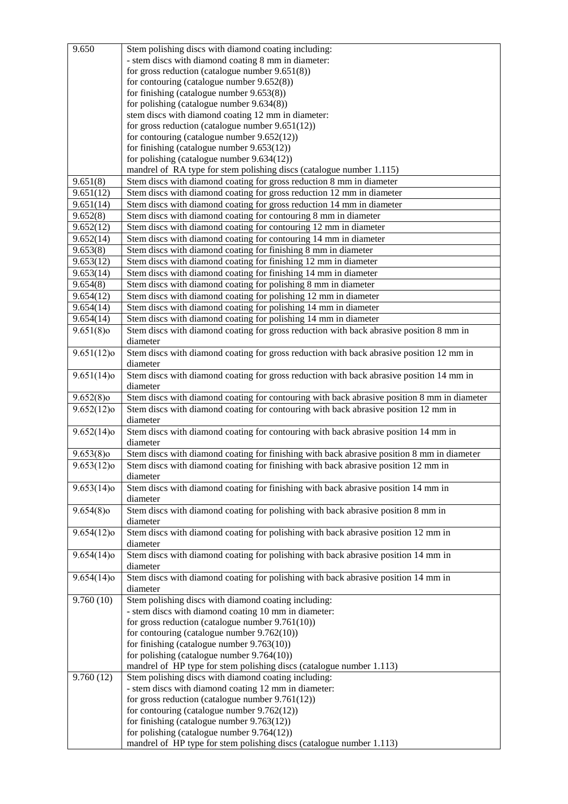| 9.650                    | Stem polishing discs with diamond coating including:                                            |
|--------------------------|-------------------------------------------------------------------------------------------------|
|                          | - stem discs with diamond coating 8 mm in diameter:                                             |
|                          | for gross reduction (catalogue number $9.651(8)$ )                                              |
|                          | for contouring (catalogue number $9.652(8)$ )                                                   |
|                          | for finishing (catalogue number $9.653(8)$ )                                                    |
|                          | for polishing (catalogue number $9.634(8)$ )                                                    |
|                          | stem discs with diamond coating 12 mm in diameter:                                              |
|                          | for gross reduction (catalogue number $9.651(12)$ )                                             |
|                          | for contouring (catalogue number $9.652(12)$ )                                                  |
|                          | for finishing (catalogue number 9.653(12))                                                      |
|                          | for polishing (catalogue number 9.634(12))                                                      |
|                          | mandrel of RA type for stem polishing discs (catalogue number 1.115)                            |
| 9.651(8)                 | Stem discs with diamond coating for gross reduction 8 mm in diameter                            |
| 9.651(12)                | Stem discs with diamond coating for gross reduction 12 mm in diameter                           |
| 9.651(14)                | Stem discs with diamond coating for gross reduction 14 mm in diameter                           |
| 9.652(8)                 | Stem discs with diamond coating for contouring 8 mm in diameter                                 |
| 9.652(12)                | Stem discs with diamond coating for contouring 12 mm in diameter                                |
| 9.652(14)                | Stem discs with diamond coating for contouring 14 mm in diameter                                |
| 9.653(8)                 | Stem discs with diamond coating for finishing 8 mm in diameter                                  |
| 9.653(12)                | Stem discs with diamond coating for finishing 12 mm in diameter                                 |
| 9.653(14)                | Stem discs with diamond coating for finishing 14 mm in diameter                                 |
| 9.654(8)                 | Stem discs with diamond coating for polishing 8 mm in diameter                                  |
| 9.654(12)                | Stem discs with diamond coating for polishing 12 mm in diameter                                 |
| 9.654(14)                | Stem discs with diamond coating for polishing 14 mm in diameter                                 |
| 9.654(14)                | Stem discs with diamond coating for polishing 14 mm in diameter                                 |
| $9.651(8)$ o             | Stem discs with diamond coating for gross reduction with back abrasive position 8 mm in         |
|                          | diameter                                                                                        |
| $9.651(12)$ o            | Stem discs with diamond coating for gross reduction with back abrasive position 12 mm in        |
|                          | diameter                                                                                        |
| $\overline{9.651}(14)$ o | Stem discs with diamond coating for gross reduction with back abrasive position 14 mm in        |
|                          | diameter                                                                                        |
| $9.652(8)$ o             | Stem discs with diamond coating for contouring with back abrasive position 8 mm in diameter     |
| $9.652(12)$ o            | Stem discs with diamond coating for contouring with back abrasive position 12 mm in<br>diameter |
| $9.652(14)$ o            | Stem discs with diamond coating for contouring with back abrasive position 14 mm in             |
|                          | diameter                                                                                        |
| $9.653(8)$ o             | Stem discs with diamond coating for finishing with back abrasive position 8 mm in diameter      |
| $9.653(12)$ o            | Stem discs with diamond coating for finishing with back abrasive position 12 mm in<br>diameter  |
| $9.653(14)$ o            | Stem discs with diamond coating for finishing with back abrasive position 14 mm in<br>diameter  |
| $9.654(8)$ o             | Stem discs with diamond coating for polishing with back abrasive position 8 mm in               |
|                          | diameter                                                                                        |
| $9.654(12)$ o            | Stem discs with diamond coating for polishing with back abrasive position 12 mm in              |
|                          | diameter                                                                                        |
| $9.654(14)$ o            | Stem discs with diamond coating for polishing with back abrasive position 14 mm in              |
|                          | diameter                                                                                        |
| $9.654(14)$ o            | Stem discs with diamond coating for polishing with back abrasive position 14 mm in              |
|                          | diameter                                                                                        |
| 9.760(10)                | Stem polishing discs with diamond coating including:                                            |
|                          | - stem discs with diamond coating 10 mm in diameter:                                            |
|                          | for gross reduction (catalogue number $9.761(10)$ )                                             |
|                          | for contouring (catalogue number $9.762(10)$ )<br>for finishing (catalogue number $9.763(10)$ ) |
|                          | for polishing (catalogue number $9.764(10)$ )                                                   |
|                          | mandrel of HP type for stem polishing discs (catalogue number 1.113)                            |
| 9.760(12)                | Stem polishing discs with diamond coating including:                                            |
|                          | - stem discs with diamond coating 12 mm in diameter:                                            |
|                          | for gross reduction (catalogue number $9.761(12)$ )                                             |
|                          | for contouring (catalogue number $9.762(12)$ )                                                  |
|                          | for finishing (catalogue number $9.763(12)$ )                                                   |
|                          | for polishing (catalogue number $9.764(12)$ )                                                   |
|                          | mandrel of HP type for stem polishing discs (catalogue number 1.113)                            |
|                          |                                                                                                 |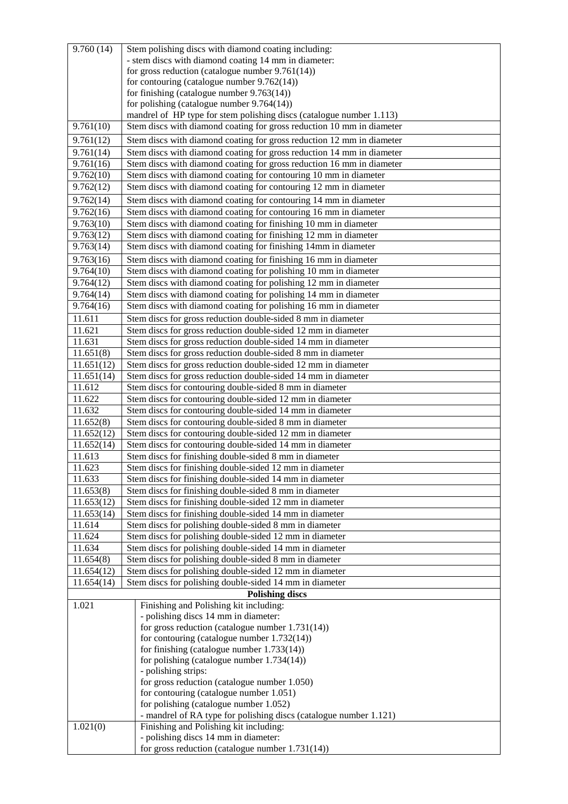| 9.760(14)                | Stem polishing discs with diamond coating including:                                                                 |
|--------------------------|----------------------------------------------------------------------------------------------------------------------|
|                          | - stem discs with diamond coating 14 mm in diameter:                                                                 |
|                          | for gross reduction (catalogue number $9.761(14)$ )                                                                  |
|                          | for contouring (catalogue number $9.762(14)$ )                                                                       |
|                          | for finishing (catalogue number $9.763(14)$ )                                                                        |
|                          | for polishing (catalogue number $9.764(14)$ )                                                                        |
|                          | mandrel of HP type for stem polishing discs (catalogue number 1.113)                                                 |
| 9.761(10)                | Stem discs with diamond coating for gross reduction 10 mm in diameter                                                |
| 9.761(12)                | Stem discs with diamond coating for gross reduction 12 mm in diameter                                                |
| 9.761(14)                | Stem discs with diamond coating for gross reduction 14 mm in diameter                                                |
| 9.761(16)                | Stem discs with diamond coating for gross reduction 16 mm in diameter                                                |
| 9.762(10)                | Stem discs with diamond coating for contouring 10 mm in diameter                                                     |
| 9.762(12)                | Stem discs with diamond coating for contouring 12 mm in diameter                                                     |
| 9.762(14)                | Stem discs with diamond coating for contouring 14 mm in diameter                                                     |
| 9.762(16)                | Stem discs with diamond coating for contouring 16 mm in diameter                                                     |
| 9.763(10)                | Stem discs with diamond coating for finishing 10 mm in diameter                                                      |
| 9.763(12)                | Stem discs with diamond coating for finishing 12 mm in diameter                                                      |
| 9.763(14)                | Stem discs with diamond coating for finishing 14mm in diameter                                                       |
| 9.763(16)                | Stem discs with diamond coating for finishing 16 mm in diameter                                                      |
| 9.764(10)                | Stem discs with diamond coating for polishing 10 mm in diameter                                                      |
| 9.764(12)                | Stem discs with diamond coating for polishing 12 mm in diameter                                                      |
| 9.764(14)                | Stem discs with diamond coating for polishing 14 mm in diameter                                                      |
| 9.764(16)                | Stem discs with diamond coating for polishing 16 mm in diameter                                                      |
| 11.611                   | Stem discs for gross reduction double-sided 8 mm in diameter                                                         |
| 11.621                   | Stem discs for gross reduction double-sided 12 mm in diameter                                                        |
| 11.631                   | Stem discs for gross reduction double-sided 14 mm in diameter                                                        |
| 11.651(8)                | Stem discs for gross reduction double-sided 8 mm in diameter                                                         |
| 11.651(12)               | Stem discs for gross reduction double-sided 12 mm in diameter                                                        |
| 11.651(14)               | Stem discs for gross reduction double-sided 14 mm in diameter                                                        |
| 11.612                   | Stem discs for contouring double-sided 8 mm in diameter                                                              |
| 11.622                   | Stem discs for contouring double-sided 12 mm in diameter                                                             |
| 11.632                   | Stem discs for contouring double-sided 14 mm in diameter                                                             |
| 11.652(8)                | Stem discs for contouring double-sided 8 mm in diameter                                                              |
| 11.652(12)<br>11.652(14) | Stem discs for contouring double-sided 12 mm in diameter<br>Stem discs for contouring double-sided 14 mm in diameter |
| 11.613                   | Stem discs for finishing double-sided 8 mm in diameter                                                               |
| 11.623                   | Stem discs for finishing double-sided 12 mm in diameter                                                              |
| 11.633                   | Stem discs for finishing double-sided 14 mm in diameter                                                              |
| 11.653(8)                | Stem discs for finishing double-sided 8 mm in diameter                                                               |
| 11.653(12)               | Stem discs for finishing double-sided 12 mm in diameter                                                              |
| 11.653(14)               | Stem discs for finishing double-sided 14 mm in diameter                                                              |
| 11.614                   | Stem discs for polishing double-sided 8 mm in diameter                                                               |
| 11.624                   | Stem discs for polishing double-sided 12 mm in diameter                                                              |
| 11.634                   | Stem discs for polishing double-sided 14 mm in diameter                                                              |
| 11.654(8)                | Stem discs for polishing double-sided 8 mm in diameter                                                               |
| 11.654(12)               | Stem discs for polishing double-sided 12 mm in diameter                                                              |
| 11.654(14)               | Stem discs for polishing double-sided 14 mm in diameter                                                              |
| <b>Polishing discs</b>   |                                                                                                                      |
| 1.021                    | Finishing and Polishing kit including:                                                                               |
|                          | - polishing discs 14 mm in diameter:                                                                                 |
|                          | for gross reduction (catalogue number $1.731(14)$ )                                                                  |
|                          | for contouring (catalogue number $1.732(14)$ )                                                                       |
|                          | for finishing (catalogue number $1.733(14)$ )<br>for polishing (catalogue number $1.734(14)$ )                       |
|                          | - polishing strips:                                                                                                  |
|                          | for gross reduction (catalogue number 1.050)                                                                         |
|                          | for contouring (catalogue number 1.051)                                                                              |
|                          | for polishing (catalogue number 1.052)                                                                               |
|                          | - mandrel of RA type for polishing discs (catalogue number 1.121)                                                    |
| 1.021(0)                 | Finishing and Polishing kit including:                                                                               |
|                          | - polishing discs 14 mm in diameter:                                                                                 |
|                          | for gross reduction (catalogue number $1.731(14)$ )                                                                  |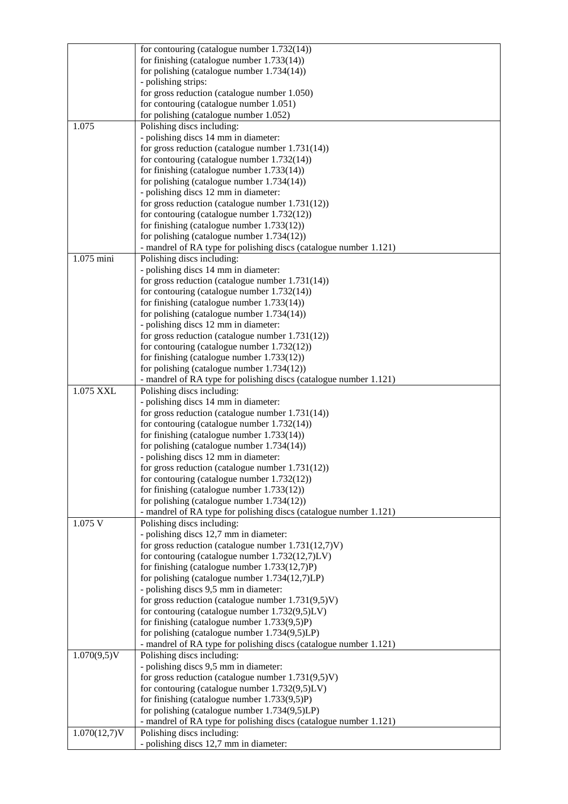|                 | for contouring (catalogue number 1.732(14))                                                               |
|-----------------|-----------------------------------------------------------------------------------------------------------|
|                 | for finishing (catalogue number $1.733(14)$ )                                                             |
|                 | for polishing (catalogue number $1.734(14)$ )                                                             |
|                 | - polishing strips:                                                                                       |
|                 | for gross reduction (catalogue number 1.050)                                                              |
|                 | for contouring (catalogue number 1.051)                                                                   |
|                 | for polishing (catalogue number 1.052)                                                                    |
| 1.075           | Polishing discs including:                                                                                |
|                 | - polishing discs 14 mm in diameter:                                                                      |
|                 | for gross reduction (catalogue number $1.731(14)$ )                                                       |
|                 | for contouring (catalogue number $1.732(14)$ )                                                            |
|                 | for finishing (catalogue number $1.733(14)$ )<br>for polishing (catalogue number $1.734(14)$ )            |
|                 | - polishing discs 12 mm in diameter:                                                                      |
|                 | for gross reduction (catalogue number $1.731(12)$ )                                                       |
|                 | for contouring (catalogue number $1.732(12)$ )                                                            |
|                 | for finishing (catalogue number $1.733(12)$ )                                                             |
|                 | for polishing (catalogue number $1.734(12)$ )                                                             |
|                 | - mandrel of RA type for polishing discs (catalogue number 1.121)                                         |
| 1.075 mini      | Polishing discs including:                                                                                |
|                 | - polishing discs 14 mm in diameter:                                                                      |
|                 | for gross reduction (catalogue number $1.731(14)$ )                                                       |
|                 | for contouring (catalogue number $1.732(14)$ )                                                            |
|                 | for finishing (catalogue number $1.733(14)$ )                                                             |
|                 | for polishing (catalogue number $1.734(14)$ )                                                             |
|                 | - polishing discs 12 mm in diameter:                                                                      |
|                 | for gross reduction (catalogue number $1.731(12)$ )                                                       |
|                 | for contouring (catalogue number 1.732(12))                                                               |
|                 | for finishing (catalogue number $1.733(12)$ )                                                             |
|                 | for polishing (catalogue number $1.734(12)$ )                                                             |
| 1.075 XXL       | - mandrel of RA type for polishing discs (catalogue number 1.121)<br>Polishing discs including:           |
|                 | - polishing discs 14 mm in diameter:                                                                      |
|                 | for gross reduction (catalogue number $1.731(14)$ )                                                       |
|                 | for contouring (catalogue number $1.732(14)$ )                                                            |
|                 | for finishing (catalogue number $1.733(14)$ )                                                             |
|                 | for polishing (catalogue number $1.734(14)$ )                                                             |
|                 | - polishing discs 12 mm in diameter:                                                                      |
|                 | for gross reduction (catalogue number $1.731(12)$ )                                                       |
|                 | for contouring (catalogue number $1.732(12)$ )                                                            |
|                 | for finishing (catalogue number $1.733(12)$ )                                                             |
|                 | for polishing (catalogue number $1.734(12)$ )                                                             |
|                 | - mandrel of RA type for polishing discs (catalogue number 1.121)                                         |
| 1.075 V         | Polishing discs including:                                                                                |
|                 | - polishing discs 12,7 mm in diameter:                                                                    |
|                 | for gross reduction (catalogue number $1.731(12,7)V$ )<br>for contouring (catalogue number 1.732(12,7)LV) |
|                 | for finishing (catalogue number $1.733(12,7)P$ )                                                          |
|                 | for polishing (catalogue number 1.734(12,7)LP)                                                            |
|                 | - polishing discs 9,5 mm in diameter:                                                                     |
|                 | for gross reduction (catalogue number $1.731(9.5)V$ )                                                     |
|                 | for contouring (catalogue number 1.732(9,5)LV)                                                            |
|                 | for finishing (catalogue number $1.733(9,5)P$ )                                                           |
|                 | for polishing (catalogue number $1.734(9,5)LP$ )                                                          |
|                 | - mandrel of RA type for polishing discs (catalogue number 1.121)                                         |
| $1.070(9,5)$ V  | Polishing discs including:                                                                                |
|                 | - polishing discs 9,5 mm in diameter:                                                                     |
|                 | for gross reduction (catalogue number $1.731(9.5)V$ )                                                     |
|                 | for contouring (catalogue number 1.732(9,5)LV)                                                            |
|                 | for finishing (catalogue number $1.733(9,5)P$ )                                                           |
|                 | for polishing (catalogue number $1.734(9,5)LP$ )                                                          |
| $1.070(12,7)$ V | - mandrel of RA type for polishing discs (catalogue number 1.121)<br>Polishing discs including:           |
|                 | - polishing discs 12,7 mm in diameter:                                                                    |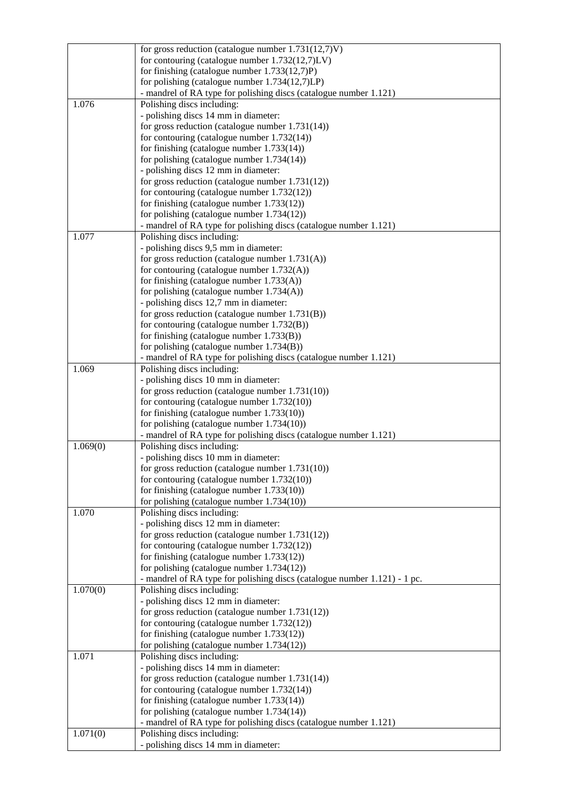|          | for gross reduction (catalogue number $1.731(12,7)V$ )                                                             |
|----------|--------------------------------------------------------------------------------------------------------------------|
|          | for contouring (catalogue number $1.732(12,7)$ LV)                                                                 |
|          | for finishing (catalogue number $1.733(12,7)P$ )                                                                   |
|          | for polishing (catalogue number 1.734(12,7)LP)                                                                     |
|          | - mandrel of RA type for polishing discs (catalogue number 1.121)                                                  |
| 1.076    | Polishing discs including:                                                                                         |
|          | - polishing discs 14 mm in diameter:                                                                               |
|          | for gross reduction (catalogue number $1.731(14)$ )                                                                |
|          | for contouring (catalogue number $1.732(14)$ )                                                                     |
|          | for finishing (catalogue number $1.733(14)$ )                                                                      |
|          | for polishing (catalogue number $1.734(14)$ )                                                                      |
|          | - polishing discs 12 mm in diameter:<br>for gross reduction (catalogue number $1.731(12)$ )                        |
|          | for contouring (catalogue number $1.732(12)$ )                                                                     |
|          | for finishing (catalogue number $1.733(12)$ )                                                                      |
|          | for polishing (catalogue number $1.734(12)$ )                                                                      |
|          | - mandrel of RA type for polishing discs (catalogue number 1.121)                                                  |
| 1.077    | Polishing discs including:                                                                                         |
|          | - polishing discs 9,5 mm in diameter:                                                                              |
|          | for gross reduction (catalogue number $1.731(A)$ )                                                                 |
|          | for contouring (catalogue number $1.732(A)$ )                                                                      |
|          | for finishing (catalogue number $1.733(A)$ )                                                                       |
|          | for polishing (catalogue number 1.734(A))                                                                          |
|          | - polishing discs 12,7 mm in diameter:                                                                             |
|          | for gross reduction (catalogue number $1.731(B)$ )                                                                 |
|          | for contouring (catalogue number $1.732(B)$ )                                                                      |
|          | for finishing (catalogue number $1.733(B)$ )                                                                       |
|          | for polishing (catalogue number $1.734(B)$ )                                                                       |
|          | - mandrel of RA type for polishing discs (catalogue number 1.121)                                                  |
| 1.069    | Polishing discs including:                                                                                         |
|          | - polishing discs 10 mm in diameter:                                                                               |
|          | for gross reduction (catalogue number $1.731(10)$ )                                                                |
|          | for contouring (catalogue number $1.732(10)$ )                                                                     |
|          | for finishing (catalogue number $1.733(10)$ )                                                                      |
|          | for polishing (catalogue number $1.734(10)$ )<br>- mandrel of RA type for polishing discs (catalogue number 1.121) |
| 1.069(0) | Polishing discs including:                                                                                         |
|          | - polishing discs 10 mm in diameter:                                                                               |
|          | for gross reduction (catalogue number $1.731(10)$ )                                                                |
|          | for contouring (catalogue number $1.732(10)$ )                                                                     |
|          | for finishing (catalogue number 1.733(10))                                                                         |
|          | for polishing (catalogue number $1.734(10)$ )                                                                      |
| 1.070    | Polishing discs including:                                                                                         |
|          | - polishing discs 12 mm in diameter:                                                                               |
|          | for gross reduction (catalogue number $1.731(12)$ )                                                                |
|          | for contouring (catalogue number $1.732(12)$ )                                                                     |
|          | for finishing (catalogue number $1.733(12)$ )                                                                      |
|          | for polishing (catalogue number $1.734(12)$ )                                                                      |
|          | - mandrel of RA type for polishing discs (catalogue number 1.121) - 1 pc.                                          |
| 1.070(0) | Polishing discs including:                                                                                         |
|          | - polishing discs 12 mm in diameter:                                                                               |
|          | for gross reduction (catalogue number $1.731(12)$ )                                                                |
|          | for contouring (catalogue number $1.732(12)$ )                                                                     |
|          | for finishing (catalogue number $1.733(12)$ )<br>for polishing (catalogue number $1.734(12)$ )                     |
| 1.071    | Polishing discs including:                                                                                         |
|          | - polishing discs 14 mm in diameter:                                                                               |
|          | for gross reduction (catalogue number $1.731(14)$ )                                                                |
|          | for contouring (catalogue number $1.732(14)$ )                                                                     |
|          | for finishing (catalogue number $1.733(14)$ )                                                                      |
|          | for polishing (catalogue number $1.734(14)$ )                                                                      |
|          | - mandrel of RA type for polishing discs (catalogue number 1.121)                                                  |
| 1.071(0) | Polishing discs including:                                                                                         |
|          | - polishing discs 14 mm in diameter:                                                                               |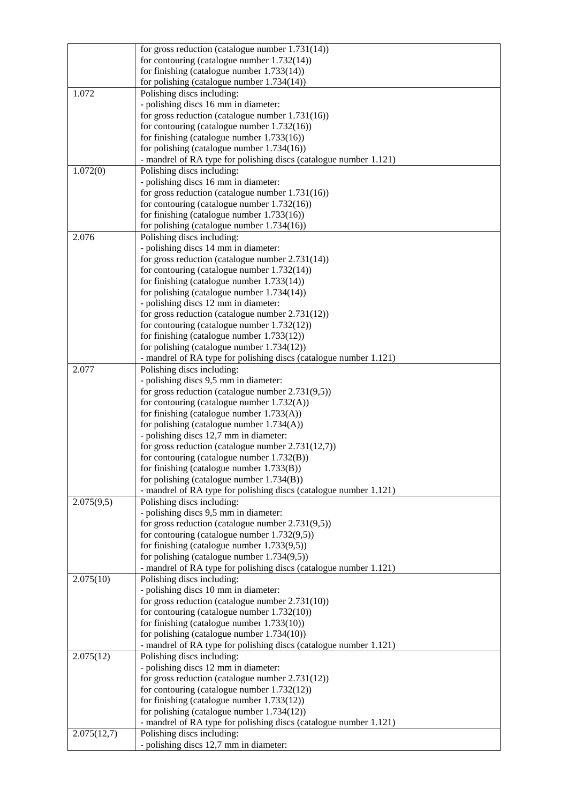|             | for gross reduction (catalogue number $1.731(14)$ )                  |
|-------------|----------------------------------------------------------------------|
|             | for contouring (catalogue number $1.732(14)$ )                       |
|             | for finishing (catalogue number $1.733(14)$ )                        |
|             | for polishing (catalogue number $1.734(14)$ )                        |
| 1.072       | Polishing discs including:                                           |
|             | - polishing discs 16 mm in diameter:                                 |
|             | for gross reduction (catalogue number $1.731(16)$ )                  |
|             | for contouring (catalogue number $1.732(16)$ )                       |
|             | for finishing (catalogue number $1.733(16)$ )                        |
|             | for polishing (catalogue number $1.734(16)$ )                        |
|             | - mandrel of RA type for polishing discs (catalogue number 1.121)    |
| 1.072(0)    | Polishing discs including:                                           |
|             | - polishing discs 16 mm in diameter:                                 |
|             | for gross reduction (catalogue number $1.731(16)$ )                  |
|             | for contouring (catalogue number $1.732(16)$ )                       |
|             | for finishing (catalogue number $1.733(16)$ )                        |
|             | for polishing (catalogue number $1.734(16)$ )                        |
| 2.076       | Polishing discs including:                                           |
|             | - polishing discs 14 mm in diameter:                                 |
|             | for gross reduction (catalogue number $2.731(14)$ )                  |
|             | for contouring (catalogue number 1.732(14))                          |
|             | for finishing (catalogue number $1.733(14)$ )                        |
|             | for polishing (catalogue number $1.734(14)$ )                        |
|             | - polishing discs 12 mm in diameter:                                 |
|             | for gross reduction (catalogue number $2.731(12)$ )                  |
|             | for contouring (catalogue number $1.732(12)$ )                       |
|             | for finishing (catalogue number 1.733(12))                           |
|             | for polishing (catalogue number $1.734(12)$ )                        |
|             | - mandrel of RA type for polishing discs (catalogue number 1.121)    |
| 2.077       | Polishing discs including:                                           |
|             | - polishing discs 9,5 mm in diameter:                                |
|             | for gross reduction (catalogue number $2.731(9,5)$ )                 |
|             | for contouring (catalogue number 1.732(A))                           |
|             | for finishing (catalogue number $1.733(A)$ )                         |
|             | for polishing (catalogue number $1.734(A)$ )                         |
|             | - polishing discs 12,7 mm in diameter:                               |
|             | for gross reduction (catalogue number $2.731(12,7)$ )                |
|             | for contouring (catalogue number $1.732(B)$ )                        |
|             | for finishing (catalogue number $1.733(B)$ )                         |
|             | for polishing (catalogue number $1.734(B)$ )                         |
|             | - mandrel of RA type for polishing discs (catalogue number 1.121)    |
| 2.075(9,5)  | Polishing discs including:                                           |
|             | - polishing discs 9,5 mm in diameter:                                |
|             | for gross reduction (catalogue number $2.731(9,5)$ )                 |
|             | for contouring (catalogue number $1.732(9,5)$ )                      |
|             | for finishing (catalogue number $1.733(9,5)$ )                       |
|             | for polishing (catalogue number $1.734(9,5)$ )                       |
|             | - mandrel of RA type for polishing discs (catalogue number 1.121)    |
| 2.075(10)   | Polishing discs including:                                           |
|             | - polishing discs 10 mm in diameter:                                 |
|             | for gross reduction (catalogue number $2.731(10)$ )                  |
|             | for contouring (catalogue number $1.732(10)$ )                       |
|             | for finishing (catalogue number $1.733(10)$ )                        |
|             | for polishing (catalogue number $1.734(10)$ )                        |
|             | - mandrel of RA type for polishing discs (catalogue number 1.121)    |
| 2.075(12)   | Polishing discs including:                                           |
|             | - polishing discs 12 mm in diameter:                                 |
|             | for gross reduction (catalogue number $2.731(12)$ )                  |
|             | for contouring (catalogue number $1.732(12)$ )                       |
|             | for finishing (catalogue number $1.733(12)$ )                        |
|             | for polishing (catalogue number $1.734(12)$ )                        |
|             | - mandrel of RA type for polishing discs (catalogue number 1.121)    |
| 2.075(12,7) | Polishing discs including:<br>- polishing discs 12,7 mm in diameter: |
|             |                                                                      |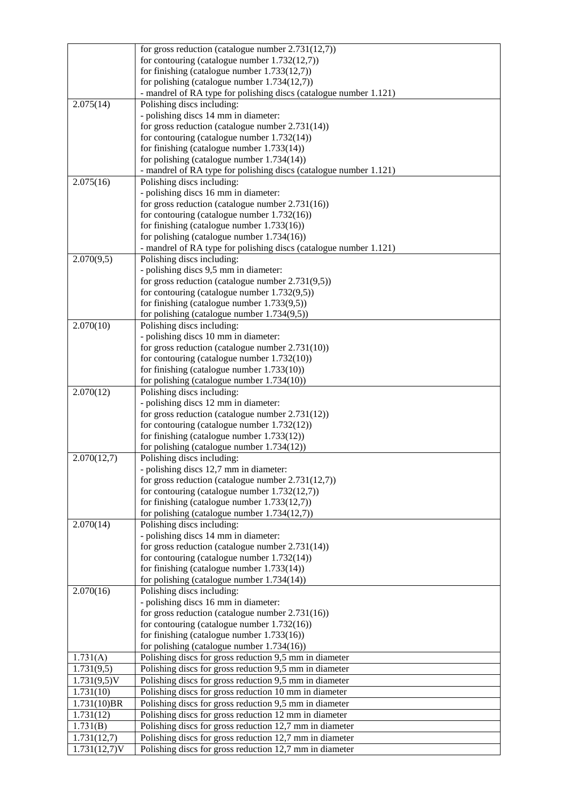|                 | for gross reduction (catalogue number $2.731(12,7)$ )                                                              |
|-----------------|--------------------------------------------------------------------------------------------------------------------|
|                 | for contouring (catalogue number $1.732(12,7)$ )                                                                   |
|                 | for finishing (catalogue number $1.733(12,7)$ )                                                                    |
|                 | for polishing (catalogue number $1.734(12,7)$ )                                                                    |
|                 | - mandrel of RA type for polishing discs (catalogue number 1.121)                                                  |
| 2.075(14)       | Polishing discs including:                                                                                         |
|                 | - polishing discs 14 mm in diameter:                                                                               |
|                 | for gross reduction (catalogue number $2.731(14)$ )                                                                |
|                 | for contouring (catalogue number $1.732(14)$ )                                                                     |
|                 | for finishing (catalogue number $1.733(14)$ )                                                                      |
|                 | for polishing (catalogue number $1.734(14)$ )<br>- mandrel of RA type for polishing discs (catalogue number 1.121) |
| 2.075(16)       | Polishing discs including:                                                                                         |
|                 | - polishing discs 16 mm in diameter:                                                                               |
|                 | for gross reduction (catalogue number $2.731(16)$ )                                                                |
|                 | for contouring (catalogue number 1.732(16))                                                                        |
|                 | for finishing (catalogue number $1.733(16)$ )                                                                      |
|                 | for polishing (catalogue number $1.734(16)$ )                                                                      |
|                 | - mandrel of RA type for polishing discs (catalogue number 1.121)                                                  |
| 2.070(9,5)      | Polishing discs including:                                                                                         |
|                 | - polishing discs 9,5 mm in diameter:                                                                              |
|                 | for gross reduction (catalogue number $2.731(9,5)$ )                                                               |
|                 | for contouring (catalogue number $1.732(9,5)$ )                                                                    |
|                 | for finishing (catalogue number $1.733(9,5)$ )                                                                     |
|                 | for polishing (catalogue number $1.734(9,5)$ )                                                                     |
| 2.070(10)       | Polishing discs including:                                                                                         |
|                 | - polishing discs 10 mm in diameter:<br>for gross reduction (catalogue number $2.731(10)$ )                        |
|                 | for contouring (catalogue number $1.732(10)$ )                                                                     |
|                 | for finishing (catalogue number $1.733(10)$ )                                                                      |
|                 | for polishing (catalogue number $1.734(10)$ )                                                                      |
| 2.070(12)       | Polishing discs including:                                                                                         |
|                 | - polishing discs 12 mm in diameter:                                                                               |
|                 | for gross reduction (catalogue number $2.731(12)$ )                                                                |
|                 | for contouring (catalogue number $1.732(12)$ )                                                                     |
|                 | for finishing (catalogue number $1.733(12)$ )                                                                      |
|                 | for polishing (catalogue number 1.734(12))                                                                         |
| 2.070(12,7)     | Polishing discs including:                                                                                         |
|                 | polishing discs 12,7 mm in diameter:                                                                               |
|                 | for gross reduction (catalogue number 2.731(12,7))                                                                 |
|                 | for contouring (catalogue number $1.732(12,7)$ )                                                                   |
|                 | for finishing (catalogue number $1.733(12,7)$ )<br>for polishing (catalogue number $1.734(12,7)$ )                 |
| 2.070(14)       | Polishing discs including:                                                                                         |
|                 | - polishing discs 14 mm in diameter:                                                                               |
|                 | for gross reduction (catalogue number $2.731(14)$ )                                                                |
|                 | for contouring (catalogue number $1.732(14)$ )                                                                     |
|                 | for finishing (catalogue number $1.733(14)$ )                                                                      |
|                 | for polishing (catalogue number $1.734(14)$ )                                                                      |
| 2.070(16)       | Polishing discs including:                                                                                         |
|                 | - polishing discs 16 mm in diameter:                                                                               |
|                 | for gross reduction (catalogue number $2.731(16)$ )                                                                |
|                 | for contouring (catalogue number $1.732(16)$ )                                                                     |
|                 | for finishing (catalogue number $1.733(16)$ )                                                                      |
| 1.731(A)        | for polishing (catalogue number $1.734(16)$ )                                                                      |
| 1.731(9,5)      | Polishing discs for gross reduction 9,5 mm in diameter<br>Polishing discs for gross reduction 9,5 mm in diameter   |
| $1.731(9,5)$ V  | Polishing discs for gross reduction 9,5 mm in diameter                                                             |
| 1.731(10)       | Polishing discs for gross reduction 10 mm in diameter                                                              |
| $1.731(10)$ BR  | Polishing discs for gross reduction 9,5 mm in diameter                                                             |
| 1.731(12)       | Polishing discs for gross reduction 12 mm in diameter                                                              |
| 1.731(B)        | Polishing discs for gross reduction 12,7 mm in diameter                                                            |
| 1.731(12,7)     | Polishing discs for gross reduction 12,7 mm in diameter                                                            |
| $1.731(12,7)$ V | Polishing discs for gross reduction 12,7 mm in diameter                                                            |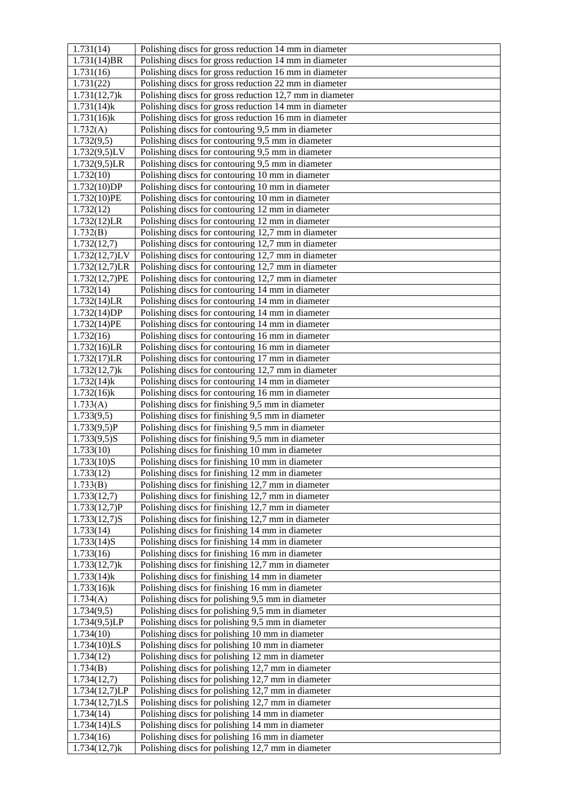| 1.731(14)                | Polishing discs for gross reduction 14 mm in diameter                                                |
|--------------------------|------------------------------------------------------------------------------------------------------|
| 1.731(14)BR              | Polishing discs for gross reduction 14 mm in diameter                                                |
| 1.731(16)                | Polishing discs for gross reduction 16 mm in diameter                                                |
| 1.731(22)                | Polishing discs for gross reduction 22 mm in diameter                                                |
| $1.731(12,7)$ k          | Polishing discs for gross reduction 12,7 mm in diameter                                              |
| $1.731(14)$ k            | Polishing discs for gross reduction 14 mm in diameter                                                |
| $1.731(16)$ k            | Polishing discs for gross reduction 16 mm in diameter                                                |
| 1.732(A)                 | Polishing discs for contouring 9,5 mm in diameter                                                    |
| 1.732(9,5)               | Polishing discs for contouring 9,5 mm in diameter                                                    |
| 1.732(9,5)LV             | Polishing discs for contouring 9,5 mm in diameter                                                    |
| 1.732(9,5)LR             | Polishing discs for contouring 9,5 mm in diameter                                                    |
| 1.732(10)                | Polishing discs for contouring 10 mm in diameter                                                     |
| 1.732(10)DP              | Polishing discs for contouring 10 mm in diameter                                                     |
| 1.732(10)PE              | Polishing discs for contouring 10 mm in diameter                                                     |
| 1.732(12)                | Polishing discs for contouring 12 mm in diameter                                                     |
| 1.732(12)LR              | Polishing discs for contouring 12 mm in diameter                                                     |
| 1.732(B)                 | Polishing discs for contouring 12,7 mm in diameter                                                   |
| 1.732(12,7)              | Polishing discs for contouring 12,7 mm in diameter                                                   |
| 1.732(12,7)LV            | Polishing discs for contouring 12,7 mm in diameter                                                   |
| 1.732(12,7)LR            | Polishing discs for contouring 12,7 mm in diameter                                                   |
| 1.732(12,7)PE            | Polishing discs for contouring 12,7 mm in diameter                                                   |
| 1.732(14)                | Polishing discs for contouring 14 mm in diameter                                                     |
| 1.732(14)LR              | Polishing discs for contouring 14 mm in diameter                                                     |
| 1.732(14)DP              | Polishing discs for contouring 14 mm in diameter                                                     |
| 1.732(14)PE              | Polishing discs for contouring 14 mm in diameter                                                     |
| 1.732(16)<br>1.732(16)LR | Polishing discs for contouring 16 mm in diameter<br>Polishing discs for contouring 16 mm in diameter |
| 1.732(17)LR              | Polishing discs for contouring 17 mm in diameter                                                     |
| $1.732(12,7)$ k          | Polishing discs for contouring 12,7 mm in diameter                                                   |
| $1.732(14)$ k            | Polishing discs for contouring 14 mm in diameter                                                     |
| $1.732(16)$ k            | Polishing discs for contouring 16 mm in diameter                                                     |
| 1.733(A)                 | Polishing discs for finishing 9,5 mm in diameter                                                     |
| 1.733(9,5)               | Polishing discs for finishing 9,5 mm in diameter                                                     |
| 1.733(9,5)P              | Polishing discs for finishing 9,5 mm in diameter                                                     |
| $1.733(9,5)$ S           | Polishing discs for finishing 9,5 mm in diameter                                                     |
| 1.733(10)                | Polishing discs for finishing 10 mm in diameter                                                      |
| 1.733(10)S               | Polishing discs for finishing 10 mm in diameter                                                      |
| 1.733(12)                | Polishing discs for finishing 12 mm in diameter                                                      |
| 1.733(B)                 | Polishing discs for finishing 12,7 mm in diameter                                                    |
| 1.733(12,7)              | Polishing discs for finishing 12,7 mm in diameter                                                    |
| 1.733(12,7)P             | Polishing discs for finishing 12,7 mm in diameter                                                    |
| $1.733(12,7)$ S          | Polishing discs for finishing 12,7 mm in diameter                                                    |
| 1.733(14)<br>1.733(14)S  | Polishing discs for finishing 14 mm in diameter<br>Polishing discs for finishing 14 mm in diameter   |
| 1.733(16)                | Polishing discs for finishing 16 mm in diameter                                                      |
| $1.733(12,7)$ k          | Polishing discs for finishing 12,7 mm in diameter                                                    |
| $1.733(14)$ k            | Polishing discs for finishing 14 mm in diameter                                                      |
| $1.733(16)$ k            | Polishing discs for finishing 16 mm in diameter                                                      |
| 1.734(A)                 | Polishing discs for polishing 9,5 mm in diameter                                                     |
| 1.734(9,5)               | Polishing discs for polishing 9,5 mm in diameter                                                     |
| 1.734(9,5)LP             | Polishing discs for polishing 9,5 mm in diameter                                                     |
| 1.734(10)                | Polishing discs for polishing 10 mm in diameter                                                      |
| 1.734(10)LS              | Polishing discs for polishing 10 mm in diameter                                                      |
| 1.734(12)                | Polishing discs for polishing 12 mm in diameter                                                      |
| 1.734(B)                 | Polishing discs for polishing 12,7 mm in diameter                                                    |
| 1.734(12,7)              | Polishing discs for polishing 12,7 mm in diameter                                                    |
| 1.734(12,7)LP            |                                                                                                      |
|                          | Polishing discs for polishing 12,7 mm in diameter                                                    |
| $1.734(12,7)$ LS         | Polishing discs for polishing 12,7 mm in diameter                                                    |
| 1.734(14)                | Polishing discs for polishing 14 mm in diameter                                                      |
| 1.734(14)LS<br>1.734(16) | Polishing discs for polishing 14 mm in diameter<br>Polishing discs for polishing 16 mm in diameter   |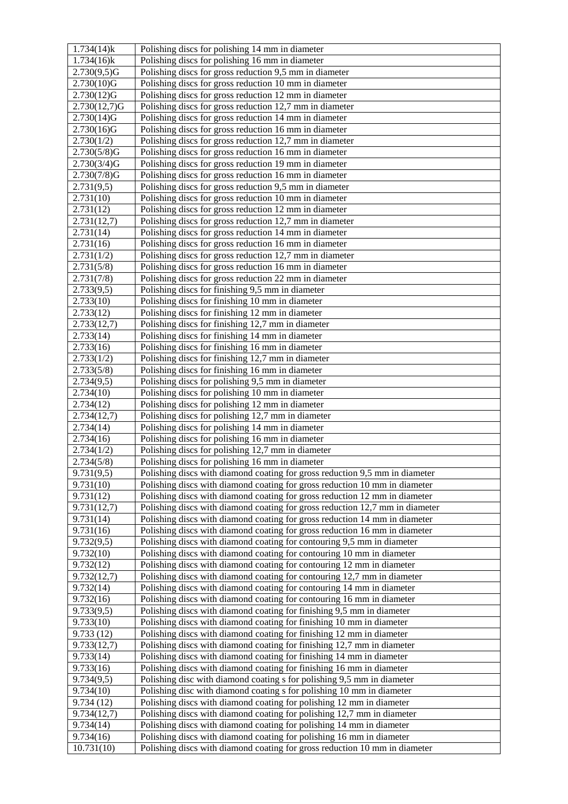| $1.734(14)$ k | Polishing discs for polishing 14 mm in diameter                              |
|---------------|------------------------------------------------------------------------------|
| $1.734(16)$ k | Polishing discs for polishing 16 mm in diameter                              |
| 2.730(9,5)G   | Polishing discs for gross reduction 9,5 mm in diameter                       |
| 2.730(10)G    | Polishing discs for gross reduction 10 mm in diameter                        |
| 2.730(12)G    | Polishing discs for gross reduction 12 mm in diameter                        |
| 2.730(12,7)G  | Polishing discs for gross reduction 12,7 mm in diameter                      |
| 2.730(14)G    | Polishing discs for gross reduction 14 mm in diameter                        |
| 2.730(16)G    | Polishing discs for gross reduction 16 mm in diameter                        |
| 2.730(1/2)    | Polishing discs for gross reduction 12,7 mm in diameter                      |
| 2.730(5/8)G   | Polishing discs for gross reduction 16 mm in diameter                        |
| 2.730(3/4)G   | Polishing discs for gross reduction 19 mm in diameter                        |
| 2.730(7/8)G   | Polishing discs for gross reduction 16 mm in diameter                        |
| 2.731(9,5)    | Polishing discs for gross reduction 9,5 mm in diameter                       |
| 2.731(10)     | Polishing discs for gross reduction 10 mm in diameter                        |
| 2.731(12)     | Polishing discs for gross reduction 12 mm in diameter                        |
| 2.731(12,7)   | Polishing discs for gross reduction 12,7 mm in diameter                      |
| 2.731(14)     | Polishing discs for gross reduction 14 mm in diameter                        |
| 2.731(16)     | Polishing discs for gross reduction 16 mm in diameter                        |
| 2.731(1/2)    | Polishing discs for gross reduction 12,7 mm in diameter                      |
| 2.731(5/8)    | Polishing discs for gross reduction 16 mm in diameter                        |
| 2.731(7/8)    | Polishing discs for gross reduction 22 mm in diameter                        |
| 2.733(9,5)    | Polishing discs for finishing 9,5 mm in diameter                             |
| 2.733(10)     | Polishing discs for finishing 10 mm in diameter                              |
| 2.733(12)     | Polishing discs for finishing 12 mm in diameter                              |
| 2.733(12,7)   | Polishing discs for finishing 12,7 mm in diameter                            |
| 2.733(14)     | Polishing discs for finishing 14 mm in diameter                              |
| 2.733(16)     | Polishing discs for finishing 16 mm in diameter                              |
| 2.733(1/2)    | Polishing discs for finishing 12,7 mm in diameter                            |
| 2.733(5/8)    | Polishing discs for finishing 16 mm in diameter                              |
| 2.734(9,5)    | Polishing discs for polishing 9,5 mm in diameter                             |
| 2.734(10)     | Polishing discs for polishing 10 mm in diameter                              |
| 2.734(12)     | Polishing discs for polishing 12 mm in diameter                              |
| 2.734(12,7)   | Polishing discs for polishing 12,7 mm in diameter                            |
| 2.734(14)     | Polishing discs for polishing 14 mm in diameter                              |
| 2.734(16)     | Polishing discs for polishing 16 mm in diameter                              |
| 2.734(1/2)    | Polishing discs for polishing 12,7 mm in diameter                            |
| 2.734(5/8)    | Polishing discs for polishing 16 mm in diameter                              |
| 9.731(9,5)    | Polishing discs with diamond coating for gross reduction 9,5 mm in diameter  |
| 9.731(10)     | Polishing discs with diamond coating for gross reduction 10 mm in diameter   |
| 9.731(12)     | Polishing discs with diamond coating for gross reduction 12 mm in diameter   |
| 9.731(12,7)   | Polishing discs with diamond coating for gross reduction 12,7 mm in diameter |
| 9.731(14)     | Polishing discs with diamond coating for gross reduction 14 mm in diameter   |
| 9.731(16)     | Polishing discs with diamond coating for gross reduction 16 mm in diameter   |
| 9.732(9,5)    | Polishing discs with diamond coating for contouring 9,5 mm in diameter       |
| 9.732(10)     | Polishing discs with diamond coating for contouring 10 mm in diameter        |
| 9.732(12)     | Polishing discs with diamond coating for contouring 12 mm in diameter        |
| 9.732(12,7)   | Polishing discs with diamond coating for contouring 12,7 mm in diameter      |
| 9.732(14)     | Polishing discs with diamond coating for contouring 14 mm in diameter        |
| 9.732(16)     | Polishing discs with diamond coating for contouring 16 mm in diameter        |
| 9.733(9,5)    | Polishing discs with diamond coating for finishing 9,5 mm in diameter        |
| 9.733(10)     | Polishing discs with diamond coating for finishing 10 mm in diameter         |
| 9.733(12)     | Polishing discs with diamond coating for finishing 12 mm in diameter         |
| 9.733(12,7)   | Polishing discs with diamond coating for finishing 12,7 mm in diameter       |
| 9.733(14)     | Polishing discs with diamond coating for finishing 14 mm in diameter         |
| 9.733(16)     | Polishing discs with diamond coating for finishing 16 mm in diameter         |
| 9.734(9,5)    | Polishing disc with diamond coating s for polishing 9,5 mm in diameter       |
| 9.734(10)     | Polishing disc with diamond coating s for polishing 10 mm in diameter        |
| 9.734(12)     | Polishing discs with diamond coating for polishing 12 mm in diameter         |
| 9.734(12,7)   | Polishing discs with diamond coating for polishing 12,7 mm in diameter       |
| 9.734(14)     | Polishing discs with diamond coating for polishing 14 mm in diameter         |
| 9.734(16)     | Polishing discs with diamond coating for polishing 16 mm in diameter         |
| 10.731(10)    | Polishing discs with diamond coating for gross reduction 10 mm in diameter   |